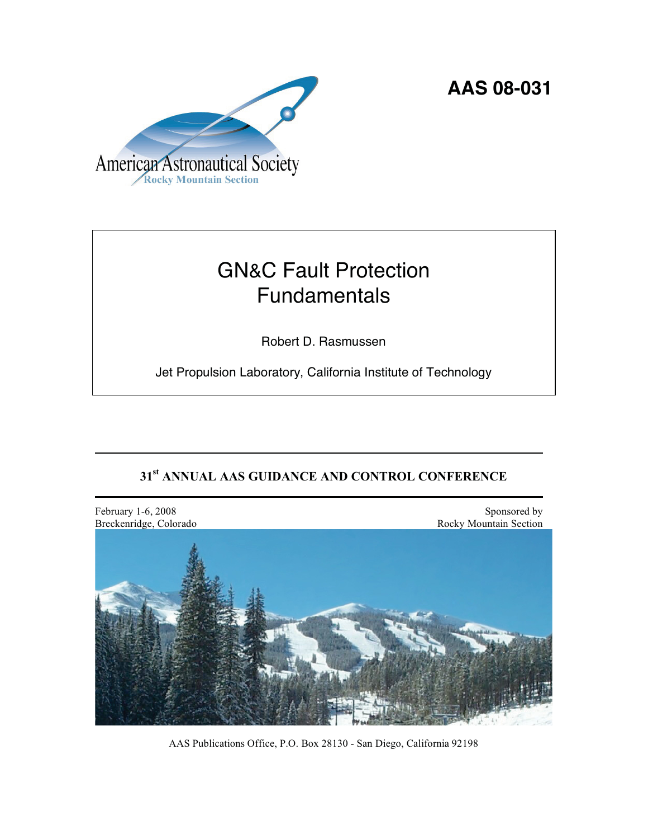**AAS 08-031** 



# GN&C Fault Protection Fundamentals

Robert D. Rasmussen

Jet Propulsion Laboratory, California Institute of Technology

# **31st ANNUAL AAS GUIDANCE AND CONTROL CONFERENCE**



AAS Publications Office, P.O. Box 28130 - San Diego, California 92198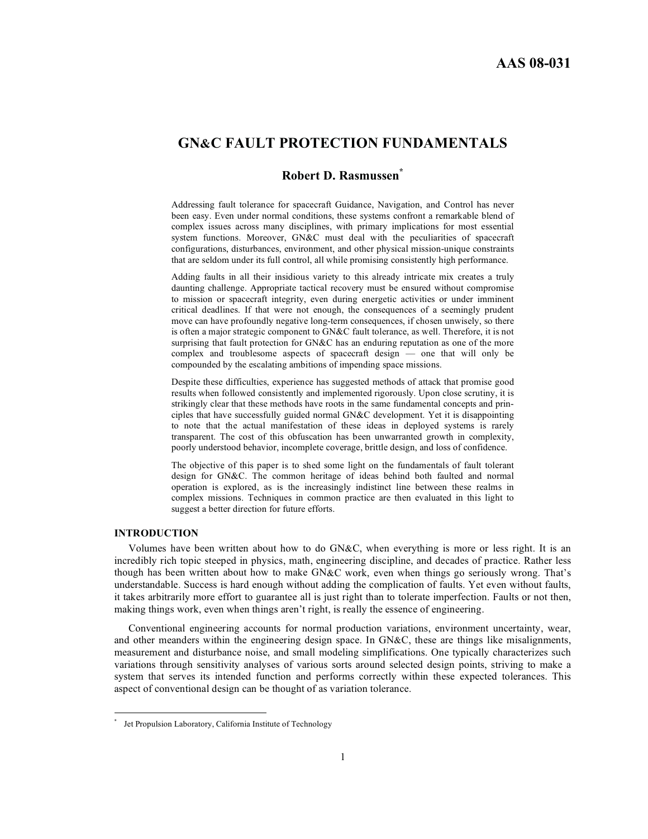## **GN&C FAULT PROTECTION FUNDAMENTALS**

### **Robert D. Rasmussen\***

Addressing fault tolerance for spacecraft Guidance, Navigation, and Control has never been easy. Even under normal conditions, these systems confront a remarkable blend of complex issues across many disciplines, with primary implications for most essential system functions. Moreover, GN&C must deal with the peculiarities of spacecraft configurations, disturbances, environment, and other physical mission-unique constraints that are seldom under its full control, all while promising consistently high performance.

Adding faults in all their insidious variety to this already intricate mix creates a truly daunting challenge. Appropriate tactical recovery must be ensured without compromise to mission or spacecraft integrity, even during energetic activities or under imminent critical deadlines. If that were not enough, the consequences of a seemingly prudent move can have profoundly negative long-term consequences, if chosen unwisely, so there is often a major strategic component to GN&C fault tolerance, as well. Therefore, it is not surprising that fault protection for GN&C has an enduring reputation as one of the more complex and troublesome aspects of spacecraft design — one that will only be compounded by the escalating ambitions of impending space missions.

Despite these difficulties, experience has suggested methods of attack that promise good results when followed consistently and implemented rigorously. Upon close scrutiny, it is strikingly clear that these methods have roots in the same fundamental concepts and principles that have successfully guided normal GN&C development. Yet it is disappointing to note that the actual manifestation of these ideas in deployed systems is rarely transparent. The cost of this obfuscation has been unwarranted growth in complexity, poorly understood behavior, incomplete coverage, brittle design, and loss of confidence.

The objective of this paper is to shed some light on the fundamentals of fault tolerant design for GN&C. The common heritage of ideas behind both faulted and normal operation is explored, as is the increasingly indistinct line between these realms in complex missions. Techniques in common practice are then evaluated in this light to suggest a better direction for future efforts.

#### **INTRODUCTION**

 $\overline{a}$ 

Volumes have been written about how to do GN&C, when everything is more or less right. It is an incredibly rich topic steeped in physics, math, engineering discipline, and decades of practice. Rather less though has been written about how to make GN&C work, even when things go seriously wrong. That's understandable. Success is hard enough without adding the complication of faults. Yet even without faults, it takes arbitrarily more effort to guarantee all is just right than to tolerate imperfection. Faults or not then, making things work, even when things aren't right, is really the essence of engineering.

Conventional engineering accounts for normal production variations, environment uncertainty, wear, and other meanders within the engineering design space. In GN&C, these are things like misalignments, measurement and disturbance noise, and small modeling simplifications. One typically characterizes such variations through sensitivity analyses of various sorts around selected design points, striving to make a system that serves its intended function and performs correctly within these expected tolerances. This aspect of conventional design can be thought of as variation tolerance.

<sup>\*</sup> Jet Propulsion Laboratory, California Institute of Technology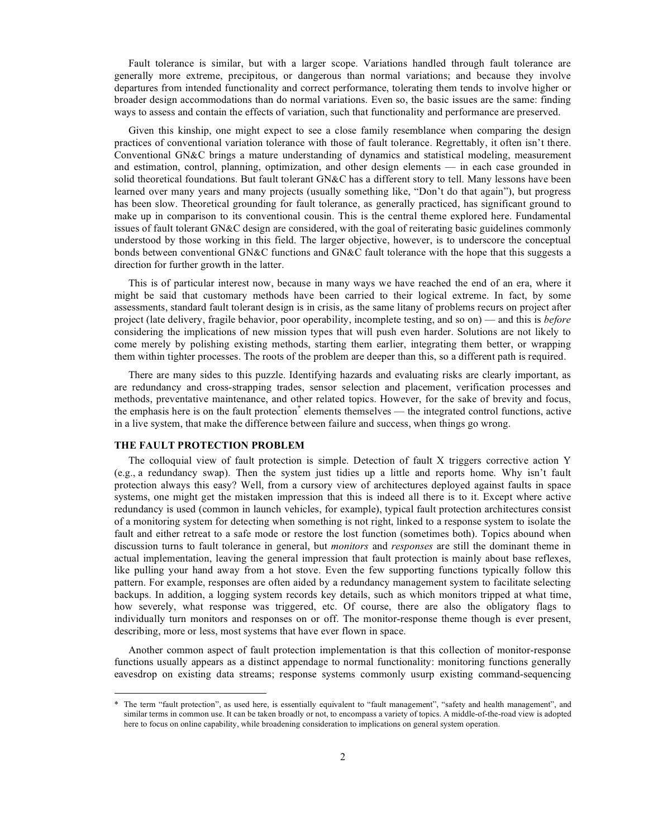Fault tolerance is similar, but with a larger scope. Variations handled through fault tolerance are generally more extreme, precipitous, or dangerous than normal variations; and because they involve departures from intended functionality and correct performance, tolerating them tends to involve higher or broader design accommodations than do normal variations. Even so, the basic issues are the same: finding ways to assess and contain the effects of variation, such that functionality and performance are preserved.

Given this kinship, one might expect to see a close family resemblance when comparing the design practices of conventional variation tolerance with those of fault tolerance. Regrettably, it often isn't there. Conventional GN&C brings a mature understanding of dynamics and statistical modeling, measurement and estimation, control, planning, optimization, and other design elements — in each case grounded in solid theoretical foundations. But fault tolerant GN&C has a different story to tell. Many lessons have been learned over many years and many projects (usually something like, "Don't do that again"), but progress has been slow. Theoretical grounding for fault tolerance, as generally practiced, has significant ground to make up in comparison to its conventional cousin. This is the central theme explored here. Fundamental issues of fault tolerant GN&C design are considered, with the goal of reiterating basic guidelines commonly understood by those working in this field. The larger objective, however, is to underscore the conceptual bonds between conventional GN&C functions and GN&C fault tolerance with the hope that this suggests a direction for further growth in the latter.

This is of particular interest now, because in many ways we have reached the end of an era, where it might be said that customary methods have been carried to their logical extreme. In fact, by some assessments, standard fault tolerant design is in crisis, as the same litany of problems recurs on project after project (late delivery, fragile behavior, poor operability, incomplete testing, and so on) — and this is *before* considering the implications of new mission types that will push even harder. Solutions are not likely to come merely by polishing existing methods, starting them earlier, integrating them better, or wrapping them within tighter processes. The roots of the problem are deeper than this, so a different path is required.

There are many sides to this puzzle. Identifying hazards and evaluating risks are clearly important, as are redundancy and cross-strapping trades, sensor selection and placement, verification processes and methods, preventative maintenance, and other related topics. However, for the sake of brevity and focus, the emphasis here is on the fault protection<sup>\*</sup> elements themselves — the integrated control functions, active in a live system, that make the difference between failure and success, when things go wrong.

#### **THE FAULT PROTECTION PROBLEM**

 $\overline{a}$ 

The colloquial view of fault protection is simple. Detection of fault X triggers corrective action Y (e.g., a redundancy swap). Then the system just tidies up a little and reports home. Why isn't fault protection always this easy? Well, from a cursory view of architectures deployed against faults in space systems, one might get the mistaken impression that this is indeed all there is to it. Except where active redundancy is used (common in launch vehicles, for example), typical fault protection architectures consist of a monitoring system for detecting when something is not right, linked to a response system to isolate the fault and either retreat to a safe mode or restore the lost function (sometimes both). Topics abound when discussion turns to fault tolerance in general, but *monitors* and *responses* are still the dominant theme in actual implementation, leaving the general impression that fault protection is mainly about base reflexes, like pulling your hand away from a hot stove. Even the few supporting functions typically follow this pattern. For example, responses are often aided by a redundancy management system to facilitate selecting backups. In addition, a logging system records key details, such as which monitors tripped at what time, how severely, what response was triggered, etc. Of course, there are also the obligatory flags to individually turn monitors and responses on or off. The monitor-response theme though is ever present, describing, more or less, most systems that have ever flown in space.

Another common aspect of fault protection implementation is that this collection of monitor-response functions usually appears as a distinct appendage to normal functionality: monitoring functions generally eavesdrop on existing data streams; response systems commonly usurp existing command-sequencing

The term "fault protection", as used here, is essentially equivalent to "fault management", "safety and health management", and similar terms in common use. It can be taken broadly or not, to encompass a variety of topics. A middle-of-the-road view is adopted here to focus on online capability, while broadening consideration to implications on general system operation.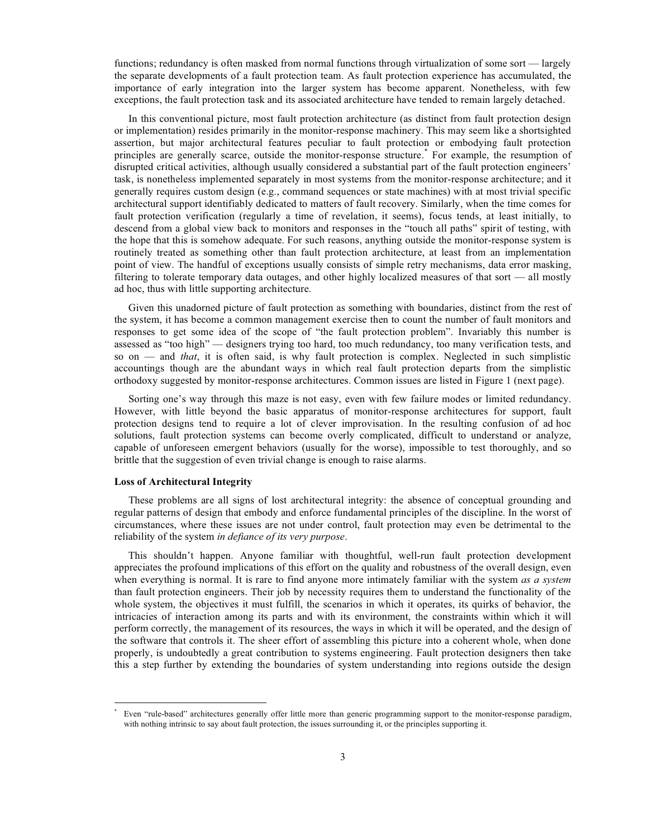functions; redundancy is often masked from normal functions through virtualization of some sort — largely the separate developments of a fault protection team. As fault protection experience has accumulated, the importance of early integration into the larger system has become apparent. Nonetheless, with few exceptions, the fault protection task and its associated architecture have tended to remain largely detached.

In this conventional picture, most fault protection architecture (as distinct from fault protection design or implementation) resides primarily in the monitor-response machinery. This may seem like a shortsighted assertion, but major architectural features peculiar to fault protection or embodying fault protection principles are generally scarce, outside the monitor-response structure.<sup>\*</sup> For example, the resumption of disrupted critical activities, although usually considered a substantial part of the fault protection engineers' task, is nonetheless implemented separately in most systems from the monitor-response architecture; and it generally requires custom design (e.g., command sequences or state machines) with at most trivial specific architectural support identifiably dedicated to matters of fault recovery. Similarly, when the time comes for fault protection verification (regularly a time of revelation, it seems), focus tends, at least initially, to descend from a global view back to monitors and responses in the "touch all paths" spirit of testing, with the hope that this is somehow adequate. For such reasons, anything outside the monitor-response system is routinely treated as something other than fault protection architecture, at least from an implementation point of view. The handful of exceptions usually consists of simple retry mechanisms, data error masking, filtering to tolerate temporary data outages, and other highly localized measures of that sort — all mostly ad hoc, thus with little supporting architecture.

Given this unadorned picture of fault protection as something with boundaries, distinct from the rest of the system, it has become a common management exercise then to count the number of fault monitors and responses to get some idea of the scope of "the fault protection problem". Invariably this number is assessed as "too high" — designers trying too hard, too much redundancy, too many verification tests, and so on — and *that*, it is often said, is why fault protection is complex. Neglected in such simplistic accountings though are the abundant ways in which real fault protection departs from the simplistic orthodoxy suggested by monitor-response architectures. Common issues are listed in Figure 1 (next page).

Sorting one's way through this maze is not easy, even with few failure modes or limited redundancy. However, with little beyond the basic apparatus of monitor-response architectures for support, fault protection designs tend to require a lot of clever improvisation. In the resulting confusion of ad hoc solutions, fault protection systems can become overly complicated, difficult to understand or analyze, capable of unforeseen emergent behaviors (usually for the worse), impossible to test thoroughly, and so brittle that the suggestion of even trivial change is enough to raise alarms.

#### **Loss of Architectural Integrity**

 $\overline{a}$ 

These problems are all signs of lost architectural integrity: the absence of conceptual grounding and regular patterns of design that embody and enforce fundamental principles of the discipline. In the worst of circumstances, where these issues are not under control, fault protection may even be detrimental to the reliability of the system *in defiance of its very purpose*.

This shouldn't happen. Anyone familiar with thoughtful, well-run fault protection development appreciates the profound implications of this effort on the quality and robustness of the overall design, even when everything is normal. It is rare to find anyone more intimately familiar with the system *as a system* than fault protection engineers. Their job by necessity requires them to understand the functionality of the whole system, the objectives it must fulfill, the scenarios in which it operates, its quirks of behavior, the intricacies of interaction among its parts and with its environment, the constraints within which it will perform correctly, the management of its resources, the ways in which it will be operated, and the design of the software that controls it. The sheer effort of assembling this picture into a coherent whole, when done properly, is undoubtedly a great contribution to systems engineering. Fault protection designers then take this a step further by extending the boundaries of system understanding into regions outside the design

<sup>\*</sup> Even "rule-based" architectures generally offer little more than generic programming support to the monitor-response paradigm, with nothing intrinsic to say about fault protection, the issues surrounding it, or the principles supporting it.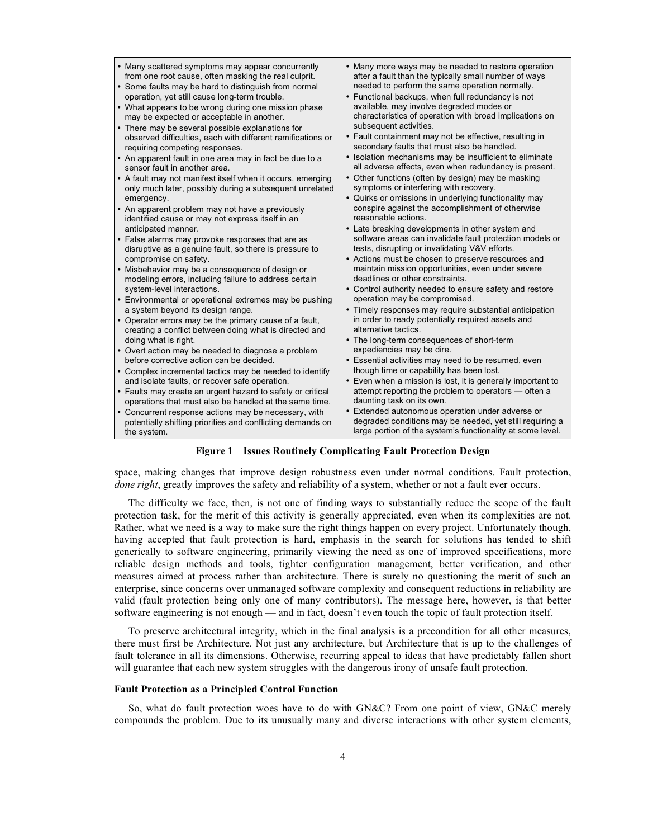- Many scattered symptoms may appear concurrently from one root cause, often masking the real culprit.
- Some faults may be hard to distinguish from normal operation, yet still cause long-term trouble.
- What appears to be wrong during one mission phase may be expected or acceptable in another.
- There may be several possible explanations for observed difficulties, each with different ramifications or requiring competing responses.
- An apparent fault in one area may in fact be due to a sensor fault in another area.
- A fault may not manifest itself when it occurs, emerging only much later, possibly during a subsequent unrelated emergency.
- An apparent problem may not have a previously identified cause or may not express itself in an anticipated manner.
- False alarms may provoke responses that are as disruptive as a genuine fault, so there is pressure to compromise on safety.
- Misbehavior may be a consequence of design or modeling errors, including failure to address certain system-level interactions.
- Environmental or operational extremes may be pushing a system beyond its design range.
- Operator errors may be the primary cause of a fault, creating a conflict between doing what is directed and doing what is right.
- Overt action may be needed to diagnose a problem before corrective action can be decided.
- Complex incremental tactics may be needed to identify and isolate faults, or recover safe operation.
- Faults may create an urgent hazard to safety or critical operations that must also be handled at the same time.
- Concurrent response actions may be necessary, with potentially shifting priorities and conflicting demands on the system.
- Many more ways may be needed to restore operation after a fault than the typically small number of ways needed to perform the same operation normally.
- Functional backups, when full redundancy is not available, may involve degraded modes or characteristics of operation with broad implications on subsequent activities.
- Fault containment may not be effective, resulting in secondary faults that must also be handled.
- Isolation mechanisms may be insufficient to eliminate all adverse effects, even when redundancy is present.
- Other functions (often by design) may be masking symptoms or interfering with recovery.
- Quirks or omissions in underlying functionality may conspire against the accomplishment of otherwise reasonable actions.
- Late breaking developments in other system and software areas can invalidate fault protection models or tests, disrupting or invalidating V&V efforts.
- Actions must be chosen to preserve resources and maintain mission opportunities, even under severe deadlines or other constraints.
- Control authority needed to ensure safety and restore operation may be compromised.
- Timely responses may require substantial anticipation in order to ready potentially required assets and alternative tactics.
- The long-term consequences of short-term expediencies may be dire.
- Essential activities may need to be resumed, even though time or capability has been lost.
- Even when a mission is lost, it is generally important to attempt reporting the problem to operators — often a daunting task on its own.
- Extended autonomous operation under adverse or degraded conditions may be needed, yet still requiring a large portion of the system's functionality at some level.

#### **Figure 1 Issues Routinely Complicating Fault Protection Design**

space, making changes that improve design robustness even under normal conditions. Fault protection, *done right*, greatly improves the safety and reliability of a system, whether or not a fault ever occurs.

The difficulty we face, then, is not one of finding ways to substantially reduce the scope of the fault protection task, for the merit of this activity is generally appreciated, even when its complexities are not. Rather, what we need is a way to make sure the right things happen on every project. Unfortunately though, having accepted that fault protection is hard, emphasis in the search for solutions has tended to shift generically to software engineering, primarily viewing the need as one of improved specifications, more reliable design methods and tools, tighter configuration management, better verification, and other measures aimed at process rather than architecture. There is surely no questioning the merit of such an enterprise, since concerns over unmanaged software complexity and consequent reductions in reliability are valid (fault protection being only one of many contributors). The message here, however, is that better software engineering is not enough — and in fact, doesn't even touch the topic of fault protection itself.

To preserve architectural integrity, which in the final analysis is a precondition for all other measures, there must first be Architecture. Not just any architecture, but Architecture that is up to the challenges of fault tolerance in all its dimensions. Otherwise, recurring appeal to ideas that have predictably fallen short will guarantee that each new system struggles with the dangerous irony of unsafe fault protection.

#### **Fault Protection as a Principled Control Function**

So, what do fault protection woes have to do with GN&C? From one point of view, GN&C merely compounds the problem. Due to its unusually many and diverse interactions with other system elements,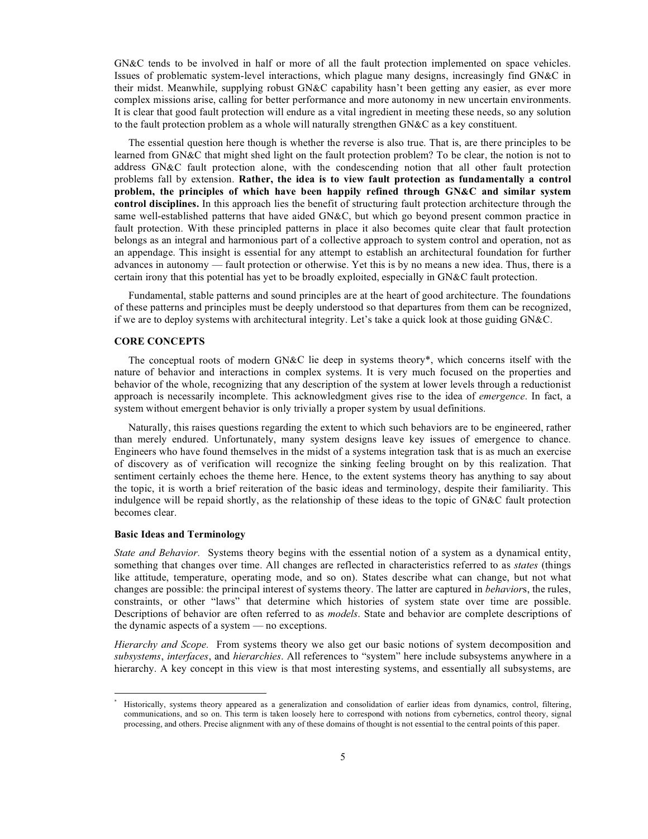GN&C tends to be involved in half or more of all the fault protection implemented on space vehicles. Issues of problematic system-level interactions, which plague many designs, increasingly find GN&C in their midst. Meanwhile, supplying robust GN&C capability hasn't been getting any easier, as ever more complex missions arise, calling for better performance and more autonomy in new uncertain environments. It is clear that good fault protection will endure as a vital ingredient in meeting these needs, so any solution to the fault protection problem as a whole will naturally strengthen GN&C as a key constituent.

The essential question here though is whether the reverse is also true. That is, are there principles to be learned from GN&C that might shed light on the fault protection problem? To be clear, the notion is not to address GN&C fault protection alone, with the condescending notion that all other fault protection problems fall by extension. **Rather, the idea is to view fault protection as fundamentally a control problem, the principles of which have been happily refined through GN&C and similar system control disciplines.** In this approach lies the benefit of structuring fault protection architecture through the same well-established patterns that have aided GN&C, but which go beyond present common practice in fault protection. With these principled patterns in place it also becomes quite clear that fault protection belongs as an integral and harmonious part of a collective approach to system control and operation, not as an appendage. This insight is essential for any attempt to establish an architectural foundation for further advances in autonomy — fault protection or otherwise. Yet this is by no means a new idea. Thus, there is a certain irony that this potential has yet to be broadly exploited, especially in GN&C fault protection.

Fundamental, stable patterns and sound principles are at the heart of good architecture. The foundations of these patterns and principles must be deeply understood so that departures from them can be recognized, if we are to deploy systems with architectural integrity. Let's take a quick look at those guiding GN&C.

#### **CORE CONCEPTS**

The conceptual roots of modern GN&C lie deep in systems theory\*, which concerns itself with the nature of behavior and interactions in complex systems. It is very much focused on the properties and behavior of the whole, recognizing that any description of the system at lower levels through a reductionist approach is necessarily incomplete. This acknowledgment gives rise to the idea of *emergence*. In fact, a system without emergent behavior is only trivially a proper system by usual definitions.

Naturally, this raises questions regarding the extent to which such behaviors are to be engineered, rather than merely endured. Unfortunately, many system designs leave key issues of emergence to chance. Engineers who have found themselves in the midst of a systems integration task that is as much an exercise of discovery as of verification will recognize the sinking feeling brought on by this realization. That sentiment certainly echoes the theme here. Hence, to the extent systems theory has anything to say about the topic, it is worth a brief reiteration of the basic ideas and terminology, despite their familiarity. This indulgence will be repaid shortly, as the relationship of these ideas to the topic of GN&C fault protection becomes clear.

#### **Basic Ideas and Terminology**

 $\overline{a}$ 

*State and Behavior.* Systems theory begins with the essential notion of a system as a dynamical entity, something that changes over time. All changes are reflected in characteristics referred to as *states* (things like attitude, temperature, operating mode, and so on). States describe what can change, but not what changes are possible: the principal interest of systems theory. The latter are captured in *behavior*s, the rules, constraints, or other "laws" that determine which histories of system state over time are possible. Descriptions of behavior are often referred to as *models*. State and behavior are complete descriptions of the dynamic aspects of a system — no exceptions.

*Hierarchy and Scope.* From systems theory we also get our basic notions of system decomposition and *subsystems*, *interfaces*, and *hierarchies*. All references to "system" here include subsystems anywhere in a hierarchy. A key concept in this view is that most interesting systems, and essentially all subsystems, are

<sup>\*</sup> Historically, systems theory appeared as a generalization and consolidation of earlier ideas from dynamics, control, filtering, communications, and so on. This term is taken loosely here to correspond with notions from cybernetics, control theory, signal processing, and others. Precise alignment with any of these domains of thought is not essential to the central points of this paper.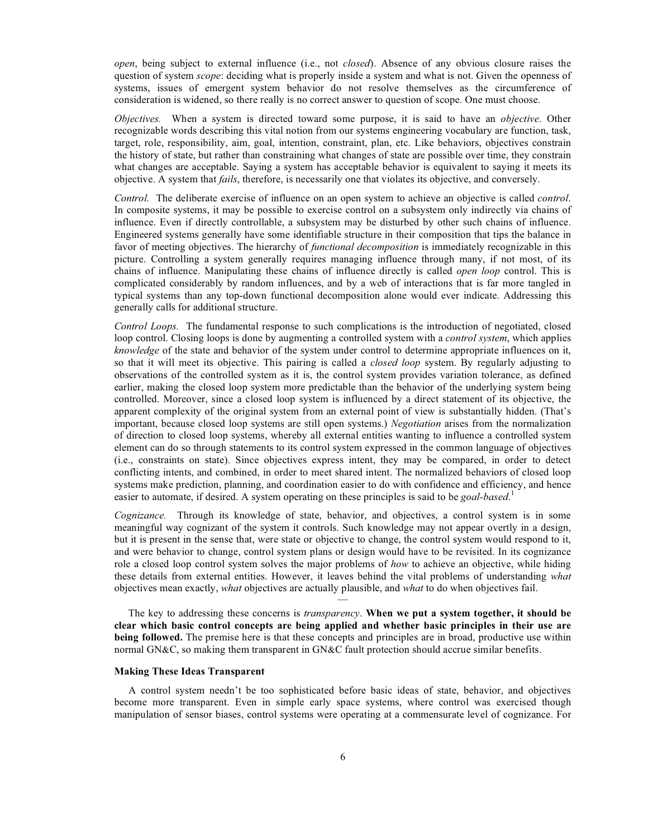*open*, being subject to external influence (i.e., not *closed*). Absence of any obvious closure raises the question of system *scope*: deciding what is properly inside a system and what is not. Given the openness of systems, issues of emergent system behavior do not resolve themselves as the circumference of consideration is widened, so there really is no correct answer to question of scope. One must choose.

*Objectives.* When a system is directed toward some purpose, it is said to have an *objective*. Other recognizable words describing this vital notion from our systems engineering vocabulary are function, task, target, role, responsibility, aim, goal, intention, constraint, plan, etc. Like behaviors, objectives constrain the history of state, but rather than constraining what changes of state are possible over time, they constrain what changes are acceptable. Saying a system has acceptable behavior is equivalent to saying it meets its objective. A system that *fails*, therefore, is necessarily one that violates its objective, and conversely.

*Control.* The deliberate exercise of influence on an open system to achieve an objective is called *control*. In composite systems, it may be possible to exercise control on a subsystem only indirectly via chains of influence. Even if directly controllable, a subsystem may be disturbed by other such chains of influence. Engineered systems generally have some identifiable structure in their composition that tips the balance in favor of meeting objectives. The hierarchy of *functional decomposition* is immediately recognizable in this picture. Controlling a system generally requires managing influence through many, if not most, of its chains of influence. Manipulating these chains of influence directly is called *open loop* control. This is complicated considerably by random influences, and by a web of interactions that is far more tangled in typical systems than any top-down functional decomposition alone would ever indicate. Addressing this generally calls for additional structure.

*Control Loops.* The fundamental response to such complications is the introduction of negotiated, closed loop control. Closing loops is done by augmenting a controlled system with a *control system*, which applies *knowledge* of the state and behavior of the system under control to determine appropriate influences on it, so that it will meet its objective. This pairing is called a *closed loop* system. By regularly adjusting to observations of the controlled system as it is, the control system provides variation tolerance, as defined earlier, making the closed loop system more predictable than the behavior of the underlying system being controlled. Moreover, since a closed loop system is influenced by a direct statement of its objective, the apparent complexity of the original system from an external point of view is substantially hidden. (That's important, because closed loop systems are still open systems.) *Negotiation* arises from the normalization of direction to closed loop systems, whereby all external entities wanting to influence a controlled system element can do so through statements to its control system expressed in the common language of objectives (i.e., constraints on state). Since objectives express intent, they may be compared, in order to detect conflicting intents, and combined, in order to meet shared intent. The normalized behaviors of closed loop systems make prediction, planning, and coordination easier to do with confidence and efficiency, and hence easier to automate, if desired. A system operating on these principles is said to be *goal-based*. 1

*Cognizance.* Through its knowledge of state, behavior, and objectives, a control system is in some meaningful way cognizant of the system it controls. Such knowledge may not appear overtly in a design, but it is present in the sense that, were state or objective to change, the control system would respond to it, and were behavior to change, control system plans or design would have to be revisited. In its cognizance role a closed loop control system solves the major problems of *how* to achieve an objective, while hiding these details from external entities. However, it leaves behind the vital problems of understanding *what* objectives mean exactly, *what* objectives are actually plausible, and *what* to do when objectives fail.

The key to addressing these concerns is *transparency*. **When we put a system together, it should be clear which basic control concepts are being applied and whether basic principles in their use are being followed.** The premise here is that these concepts and principles are in broad, productive use within normal GN&C, so making them transparent in GN&C fault protection should accrue similar benefits.

—

#### **Making These Ideas Transparent**

A control system needn't be too sophisticated before basic ideas of state, behavior, and objectives become more transparent. Even in simple early space systems, where control was exercised though manipulation of sensor biases, control systems were operating at a commensurate level of cognizance. For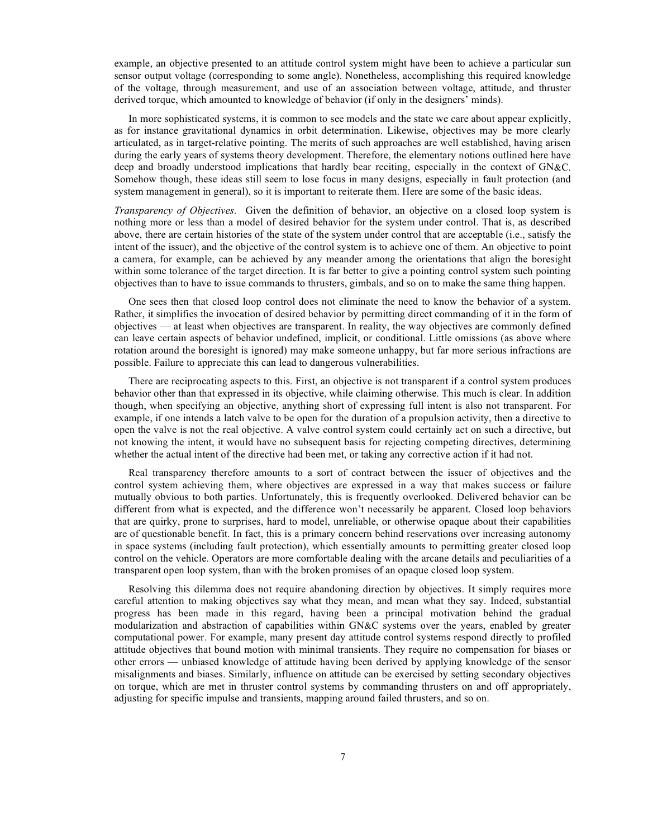example, an objective presented to an attitude control system might have been to achieve a particular sun sensor output voltage (corresponding to some angle). Nonetheless, accomplishing this required knowledge of the voltage, through measurement, and use of an association between voltage, attitude, and thruster derived torque, which amounted to knowledge of behavior (if only in the designers' minds).

In more sophisticated systems, it is common to see models and the state we care about appear explicitly, as for instance gravitational dynamics in orbit determination. Likewise, objectives may be more clearly articulated, as in target-relative pointing. The merits of such approaches are well established, having arisen during the early years of systems theory development. Therefore, the elementary notions outlined here have deep and broadly understood implications that hardly bear reciting, especially in the context of GN&C. Somehow though, these ideas still seem to lose focus in many designs, especially in fault protection (and system management in general), so it is important to reiterate them. Here are some of the basic ideas.

*Transparency of Objectives.* Given the definition of behavior, an objective on a closed loop system is nothing more or less than a model of desired behavior for the system under control. That is, as described above, there are certain histories of the state of the system under control that are acceptable (i.e., satisfy the intent of the issuer), and the objective of the control system is to achieve one of them. An objective to point a camera, for example, can be achieved by any meander among the orientations that align the boresight within some tolerance of the target direction. It is far better to give a pointing control system such pointing objectives than to have to issue commands to thrusters, gimbals, and so on to make the same thing happen.

One sees then that closed loop control does not eliminate the need to know the behavior of a system. Rather, it simplifies the invocation of desired behavior by permitting direct commanding of it in the form of objectives — at least when objectives are transparent. In reality, the way objectives are commonly defined can leave certain aspects of behavior undefined, implicit, or conditional. Little omissions (as above where rotation around the boresight is ignored) may make someone unhappy, but far more serious infractions are possible. Failure to appreciate this can lead to dangerous vulnerabilities.

There are reciprocating aspects to this. First, an objective is not transparent if a control system produces behavior other than that expressed in its objective, while claiming otherwise. This much is clear. In addition though, when specifying an objective, anything short of expressing full intent is also not transparent. For example, if one intends a latch valve to be open for the duration of a propulsion activity, then a directive to open the valve is not the real objective. A valve control system could certainly act on such a directive, but not knowing the intent, it would have no subsequent basis for rejecting competing directives, determining whether the actual intent of the directive had been met, or taking any corrective action if it had not.

Real transparency therefore amounts to a sort of contract between the issuer of objectives and the control system achieving them, where objectives are expressed in a way that makes success or failure mutually obvious to both parties. Unfortunately, this is frequently overlooked. Delivered behavior can be different from what is expected, and the difference won't necessarily be apparent. Closed loop behaviors that are quirky, prone to surprises, hard to model, unreliable, or otherwise opaque about their capabilities are of questionable benefit. In fact, this is a primary concern behind reservations over increasing autonomy in space systems (including fault protection), which essentially amounts to permitting greater closed loop control on the vehicle. Operators are more comfortable dealing with the arcane details and peculiarities of a transparent open loop system, than with the broken promises of an opaque closed loop system.

Resolving this dilemma does not require abandoning direction by objectives. It simply requires more careful attention to making objectives say what they mean, and mean what they say. Indeed, substantial progress has been made in this regard, having been a principal motivation behind the gradual modularization and abstraction of capabilities within GN&C systems over the years, enabled by greater computational power. For example, many present day attitude control systems respond directly to profiled attitude objectives that bound motion with minimal transients. They require no compensation for biases or other errors — unbiased knowledge of attitude having been derived by applying knowledge of the sensor misalignments and biases. Similarly, influence on attitude can be exercised by setting secondary objectives on torque, which are met in thruster control systems by commanding thrusters on and off appropriately, adjusting for specific impulse and transients, mapping around failed thrusters, and so on.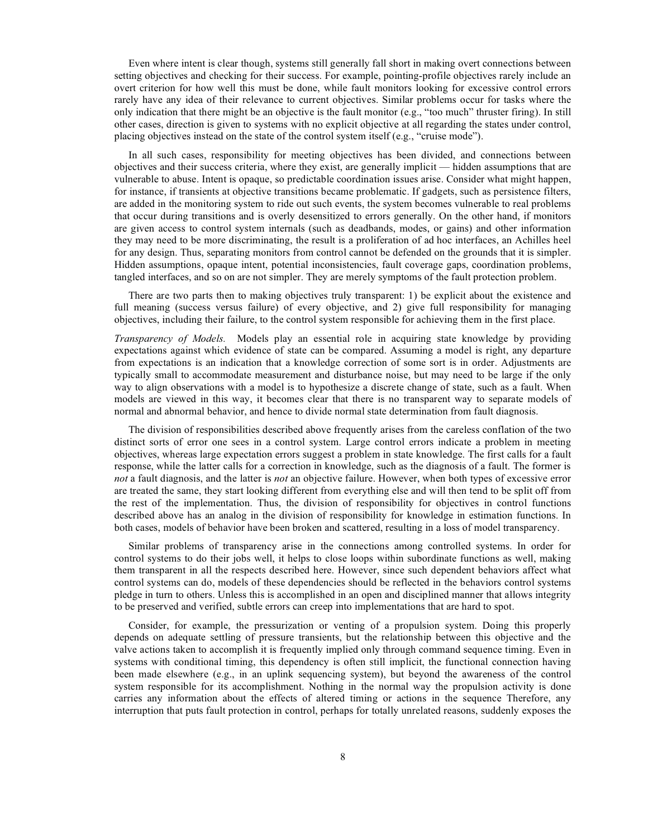Even where intent is clear though, systems still generally fall short in making overt connections between setting objectives and checking for their success. For example, pointing-profile objectives rarely include an overt criterion for how well this must be done, while fault monitors looking for excessive control errors rarely have any idea of their relevance to current objectives. Similar problems occur for tasks where the only indication that there might be an objective is the fault monitor (e.g., "too much" thruster firing). In still other cases, direction is given to systems with no explicit objective at all regarding the states under control, placing objectives instead on the state of the control system itself (e.g., "cruise mode").

In all such cases, responsibility for meeting objectives has been divided, and connections between objectives and their success criteria, where they exist, are generally implicit — hidden assumptions that are vulnerable to abuse. Intent is opaque, so predictable coordination issues arise. Consider what might happen, for instance, if transients at objective transitions became problematic. If gadgets, such as persistence filters, are added in the monitoring system to ride out such events, the system becomes vulnerable to real problems that occur during transitions and is overly desensitized to errors generally. On the other hand, if monitors are given access to control system internals (such as deadbands, modes, or gains) and other information they may need to be more discriminating, the result is a proliferation of ad hoc interfaces, an Achilles heel for any design. Thus, separating monitors from control cannot be defended on the grounds that it is simpler. Hidden assumptions, opaque intent, potential inconsistencies, fault coverage gaps, coordination problems, tangled interfaces, and so on are not simpler. They are merely symptoms of the fault protection problem.

There are two parts then to making objectives truly transparent: 1) be explicit about the existence and full meaning (success versus failure) of every objective, and 2) give full responsibility for managing objectives, including their failure, to the control system responsible for achieving them in the first place.

*Transparency of Models.* Models play an essential role in acquiring state knowledge by providing expectations against which evidence of state can be compared. Assuming a model is right, any departure from expectations is an indication that a knowledge correction of some sort is in order. Adjustments are typically small to accommodate measurement and disturbance noise, but may need to be large if the only way to align observations with a model is to hypothesize a discrete change of state, such as a fault. When models are viewed in this way, it becomes clear that there is no transparent way to separate models of normal and abnormal behavior, and hence to divide normal state determination from fault diagnosis.

The division of responsibilities described above frequently arises from the careless conflation of the two distinct sorts of error one sees in a control system. Large control errors indicate a problem in meeting objectives, whereas large expectation errors suggest a problem in state knowledge. The first calls for a fault response, while the latter calls for a correction in knowledge, such as the diagnosis of a fault. The former is *not* a fault diagnosis, and the latter is *not* an objective failure. However, when both types of excessive error are treated the same, they start looking different from everything else and will then tend to be split off from the rest of the implementation. Thus, the division of responsibility for objectives in control functions described above has an analog in the division of responsibility for knowledge in estimation functions. In both cases, models of behavior have been broken and scattered, resulting in a loss of model transparency.

Similar problems of transparency arise in the connections among controlled systems. In order for control systems to do their jobs well, it helps to close loops within subordinate functions as well, making them transparent in all the respects described here. However, since such dependent behaviors affect what control systems can do, models of these dependencies should be reflected in the behaviors control systems pledge in turn to others. Unless this is accomplished in an open and disciplined manner that allows integrity to be preserved and verified, subtle errors can creep into implementations that are hard to spot.

Consider, for example, the pressurization or venting of a propulsion system. Doing this properly depends on adequate settling of pressure transients, but the relationship between this objective and the valve actions taken to accomplish it is frequently implied only through command sequence timing. Even in systems with conditional timing, this dependency is often still implicit, the functional connection having been made elsewhere (e.g., in an uplink sequencing system), but beyond the awareness of the control system responsible for its accomplishment. Nothing in the normal way the propulsion activity is done carries any information about the effects of altered timing or actions in the sequence Therefore, any interruption that puts fault protection in control, perhaps for totally unrelated reasons, suddenly exposes the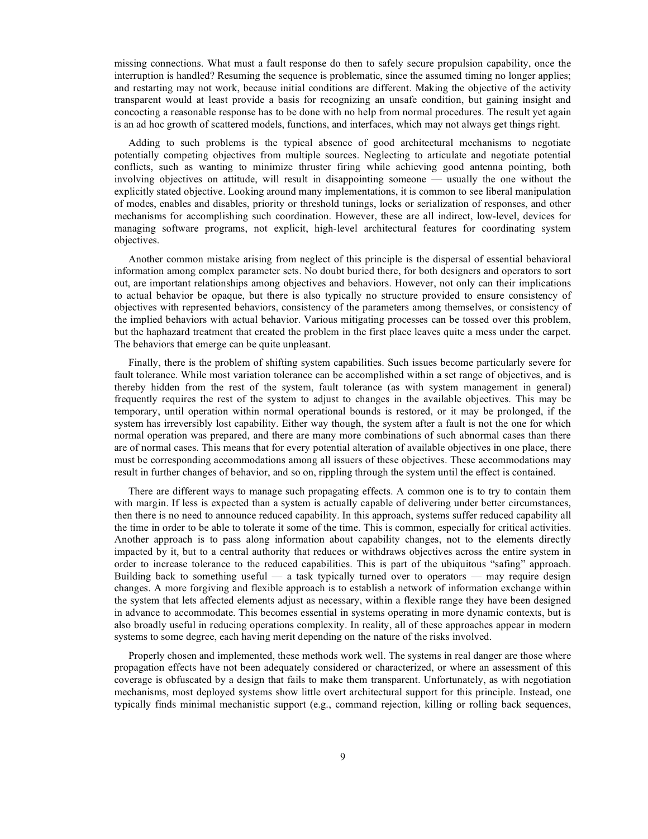missing connections. What must a fault response do then to safely secure propulsion capability, once the interruption is handled? Resuming the sequence is problematic, since the assumed timing no longer applies; and restarting may not work, because initial conditions are different. Making the objective of the activity transparent would at least provide a basis for recognizing an unsafe condition, but gaining insight and concocting a reasonable response has to be done with no help from normal procedures. The result yet again is an ad hoc growth of scattered models, functions, and interfaces, which may not always get things right.

Adding to such problems is the typical absence of good architectural mechanisms to negotiate potentially competing objectives from multiple sources. Neglecting to articulate and negotiate potential conflicts, such as wanting to minimize thruster firing while achieving good antenna pointing, both involving objectives on attitude, will result in disappointing someone — usually the one without the explicitly stated objective. Looking around many implementations, it is common to see liberal manipulation of modes, enables and disables, priority or threshold tunings, locks or serialization of responses, and other mechanisms for accomplishing such coordination. However, these are all indirect, low-level, devices for managing software programs, not explicit, high-level architectural features for coordinating system objectives.

Another common mistake arising from neglect of this principle is the dispersal of essential behavioral information among complex parameter sets. No doubt buried there, for both designers and operators to sort out, are important relationships among objectives and behaviors. However, not only can their implications to actual behavior be opaque, but there is also typically no structure provided to ensure consistency of objectives with represented behaviors, consistency of the parameters among themselves, or consistency of the implied behaviors with actual behavior. Various mitigating processes can be tossed over this problem, but the haphazard treatment that created the problem in the first place leaves quite a mess under the carpet. The behaviors that emerge can be quite unpleasant.

Finally, there is the problem of shifting system capabilities. Such issues become particularly severe for fault tolerance. While most variation tolerance can be accomplished within a set range of objectives, and is thereby hidden from the rest of the system, fault tolerance (as with system management in general) frequently requires the rest of the system to adjust to changes in the available objectives. This may be temporary, until operation within normal operational bounds is restored, or it may be prolonged, if the system has irreversibly lost capability. Either way though, the system after a fault is not the one for which normal operation was prepared, and there are many more combinations of such abnormal cases than there are of normal cases. This means that for every potential alteration of available objectives in one place, there must be corresponding accommodations among all issuers of these objectives. These accommodations may result in further changes of behavior, and so on, rippling through the system until the effect is contained.

There are different ways to manage such propagating effects. A common one is to try to contain them with margin. If less is expected than a system is actually capable of delivering under better circumstances, then there is no need to announce reduced capability. In this approach, systems suffer reduced capability all the time in order to be able to tolerate it some of the time. This is common, especially for critical activities. Another approach is to pass along information about capability changes, not to the elements directly impacted by it, but to a central authority that reduces or withdraws objectives across the entire system in order to increase tolerance to the reduced capabilities. This is part of the ubiquitous "safing" approach. Building back to something useful — a task typically turned over to operators — may require design changes. A more forgiving and flexible approach is to establish a network of information exchange within the system that lets affected elements adjust as necessary, within a flexible range they have been designed in advance to accommodate. This becomes essential in systems operating in more dynamic contexts, but is also broadly useful in reducing operations complexity. In reality, all of these approaches appear in modern systems to some degree, each having merit depending on the nature of the risks involved.

Properly chosen and implemented, these methods work well. The systems in real danger are those where propagation effects have not been adequately considered or characterized, or where an assessment of this coverage is obfuscated by a design that fails to make them transparent. Unfortunately, as with negotiation mechanisms, most deployed systems show little overt architectural support for this principle. Instead, one typically finds minimal mechanistic support (e.g., command rejection, killing or rolling back sequences,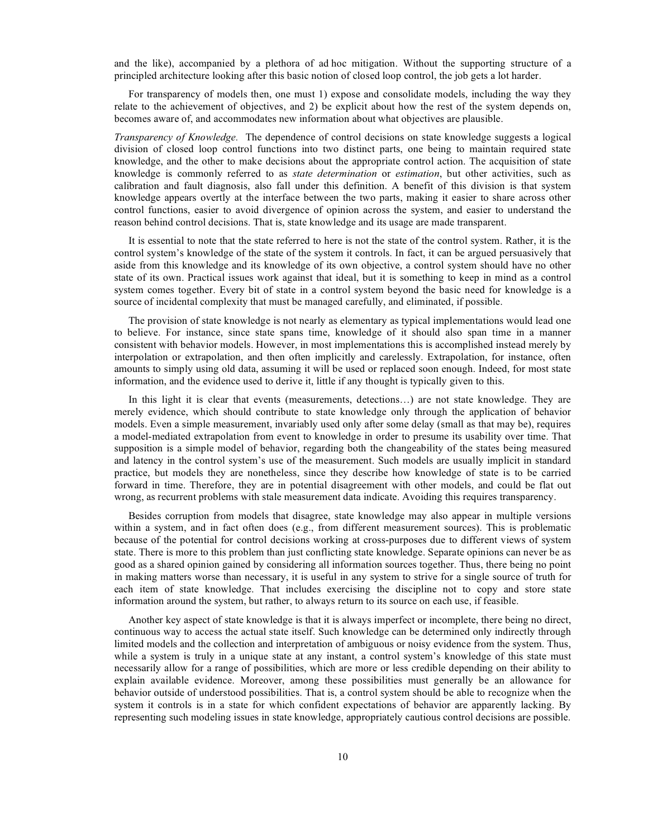and the like), accompanied by a plethora of ad hoc mitigation. Without the supporting structure of a principled architecture looking after this basic notion of closed loop control, the job gets a lot harder.

For transparency of models then, one must 1) expose and consolidate models, including the way they relate to the achievement of objectives, and 2) be explicit about how the rest of the system depends on, becomes aware of, and accommodates new information about what objectives are plausible.

*Transparency of Knowledge.* The dependence of control decisions on state knowledge suggests a logical division of closed loop control functions into two distinct parts, one being to maintain required state knowledge, and the other to make decisions about the appropriate control action. The acquisition of state knowledge is commonly referred to as *state determination* or *estimation*, but other activities, such as calibration and fault diagnosis, also fall under this definition. A benefit of this division is that system knowledge appears overtly at the interface between the two parts, making it easier to share across other control functions, easier to avoid divergence of opinion across the system, and easier to understand the reason behind control decisions. That is, state knowledge and its usage are made transparent.

It is essential to note that the state referred to here is not the state of the control system. Rather, it is the control system's knowledge of the state of the system it controls. In fact, it can be argued persuasively that aside from this knowledge and its knowledge of its own objective, a control system should have no other state of its own. Practical issues work against that ideal, but it is something to keep in mind as a control system comes together. Every bit of state in a control system beyond the basic need for knowledge is a source of incidental complexity that must be managed carefully, and eliminated, if possible.

The provision of state knowledge is not nearly as elementary as typical implementations would lead one to believe. For instance, since state spans time, knowledge of it should also span time in a manner consistent with behavior models. However, in most implementations this is accomplished instead merely by interpolation or extrapolation, and then often implicitly and carelessly. Extrapolation, for instance, often amounts to simply using old data, assuming it will be used or replaced soon enough. Indeed, for most state information, and the evidence used to derive it, little if any thought is typically given to this.

In this light it is clear that events (measurements, detections...) are not state knowledge. They are merely evidence, which should contribute to state knowledge only through the application of behavior models. Even a simple measurement, invariably used only after some delay (small as that may be), requires a model-mediated extrapolation from event to knowledge in order to presume its usability over time. That supposition is a simple model of behavior, regarding both the changeability of the states being measured and latency in the control system's use of the measurement. Such models are usually implicit in standard practice, but models they are nonetheless, since they describe how knowledge of state is to be carried forward in time. Therefore, they are in potential disagreement with other models, and could be flat out wrong, as recurrent problems with stale measurement data indicate. Avoiding this requires transparency.

Besides corruption from models that disagree, state knowledge may also appear in multiple versions within a system, and in fact often does (e.g., from different measurement sources). This is problematic because of the potential for control decisions working at cross-purposes due to different views of system state. There is more to this problem than just conflicting state knowledge. Separate opinions can never be as good as a shared opinion gained by considering all information sources together. Thus, there being no point in making matters worse than necessary, it is useful in any system to strive for a single source of truth for each item of state knowledge. That includes exercising the discipline not to copy and store state information around the system, but rather, to always return to its source on each use, if feasible.

Another key aspect of state knowledge is that it is always imperfect or incomplete, there being no direct, continuous way to access the actual state itself. Such knowledge can be determined only indirectly through limited models and the collection and interpretation of ambiguous or noisy evidence from the system. Thus, while a system is truly in a unique state at any instant, a control system's knowledge of this state must necessarily allow for a range of possibilities, which are more or less credible depending on their ability to explain available evidence. Moreover, among these possibilities must generally be an allowance for behavior outside of understood possibilities. That is, a control system should be able to recognize when the system it controls is in a state for which confident expectations of behavior are apparently lacking. By representing such modeling issues in state knowledge, appropriately cautious control decisions are possible.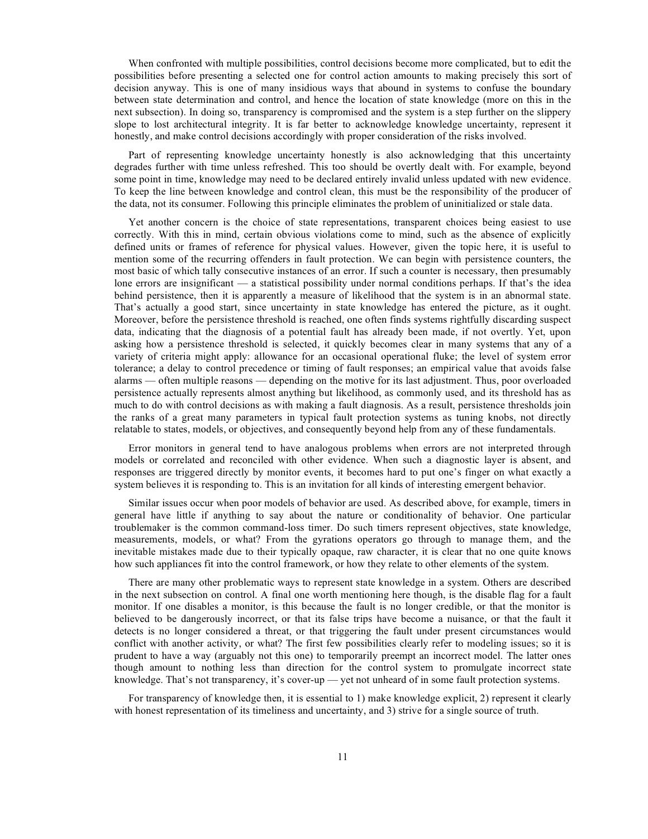When confronted with multiple possibilities, control decisions become more complicated, but to edit the possibilities before presenting a selected one for control action amounts to making precisely this sort of decision anyway. This is one of many insidious ways that abound in systems to confuse the boundary between state determination and control, and hence the location of state knowledge (more on this in the next subsection). In doing so, transparency is compromised and the system is a step further on the slippery slope to lost architectural integrity. It is far better to acknowledge knowledge uncertainty, represent it honestly, and make control decisions accordingly with proper consideration of the risks involved.

Part of representing knowledge uncertainty honestly is also acknowledging that this uncertainty degrades further with time unless refreshed. This too should be overtly dealt with. For example, beyond some point in time, knowledge may need to be declared entirely invalid unless updated with new evidence. To keep the line between knowledge and control clean, this must be the responsibility of the producer of the data, not its consumer. Following this principle eliminates the problem of uninitialized or stale data.

Yet another concern is the choice of state representations, transparent choices being easiest to use correctly. With this in mind, certain obvious violations come to mind, such as the absence of explicitly defined units or frames of reference for physical values. However, given the topic here, it is useful to mention some of the recurring offenders in fault protection. We can begin with persistence counters, the most basic of which tally consecutive instances of an error. If such a counter is necessary, then presumably lone errors are insignificant — a statistical possibility under normal conditions perhaps. If that's the idea behind persistence, then it is apparently a measure of likelihood that the system is in an abnormal state. That's actually a good start, since uncertainty in state knowledge has entered the picture, as it ought. Moreover, before the persistence threshold is reached, one often finds systems rightfully discarding suspect data, indicating that the diagnosis of a potential fault has already been made, if not overtly. Yet, upon asking how a persistence threshold is selected, it quickly becomes clear in many systems that any of a variety of criteria might apply: allowance for an occasional operational fluke; the level of system error tolerance; a delay to control precedence or timing of fault responses; an empirical value that avoids false alarms — often multiple reasons — depending on the motive for its last adjustment. Thus, poor overloaded persistence actually represents almost anything but likelihood, as commonly used, and its threshold has as much to do with control decisions as with making a fault diagnosis. As a result, persistence thresholds join the ranks of a great many parameters in typical fault protection systems as tuning knobs, not directly relatable to states, models, or objectives, and consequently beyond help from any of these fundamentals.

Error monitors in general tend to have analogous problems when errors are not interpreted through models or correlated and reconciled with other evidence. When such a diagnostic layer is absent, and responses are triggered directly by monitor events, it becomes hard to put one's finger on what exactly a system believes it is responding to. This is an invitation for all kinds of interesting emergent behavior.

Similar issues occur when poor models of behavior are used. As described above, for example, timers in general have little if anything to say about the nature or conditionality of behavior. One particular troublemaker is the common command-loss timer. Do such timers represent objectives, state knowledge, measurements, models, or what? From the gyrations operators go through to manage them, and the inevitable mistakes made due to their typically opaque, raw character, it is clear that no one quite knows how such appliances fit into the control framework, or how they relate to other elements of the system.

There are many other problematic ways to represent state knowledge in a system. Others are described in the next subsection on control. A final one worth mentioning here though, is the disable flag for a fault monitor. If one disables a monitor, is this because the fault is no longer credible, or that the monitor is believed to be dangerously incorrect, or that its false trips have become a nuisance, or that the fault it detects is no longer considered a threat, or that triggering the fault under present circumstances would conflict with another activity, or what? The first few possibilities clearly refer to modeling issues; so it is prudent to have a way (arguably not this one) to temporarily preempt an incorrect model. The latter ones though amount to nothing less than direction for the control system to promulgate incorrect state knowledge. That's not transparency, it's cover-up — yet not unheard of in some fault protection systems.

For transparency of knowledge then, it is essential to 1) make knowledge explicit, 2) represent it clearly with honest representation of its timeliness and uncertainty, and 3) strive for a single source of truth.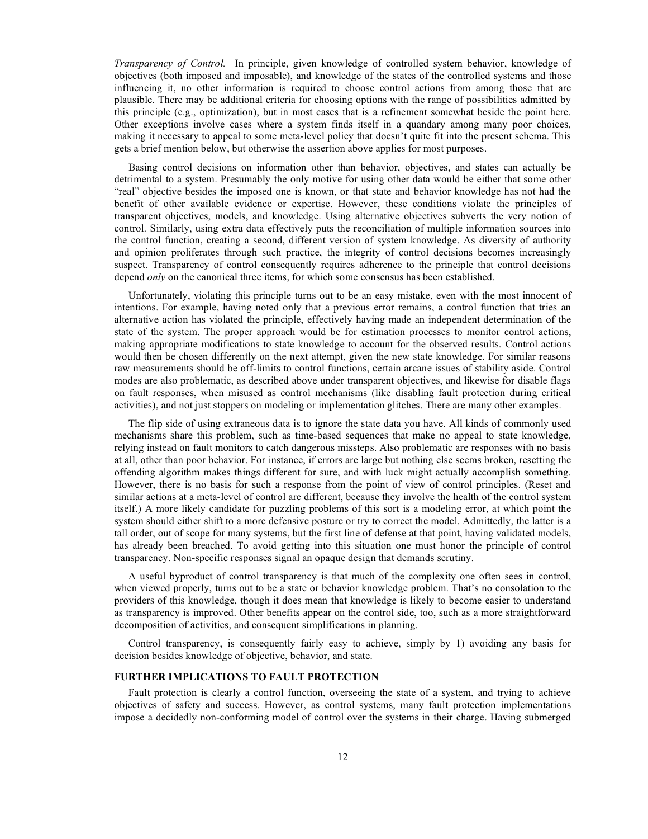*Transparency of Control.* In principle, given knowledge of controlled system behavior, knowledge of objectives (both imposed and imposable), and knowledge of the states of the controlled systems and those influencing it, no other information is required to choose control actions from among those that are plausible. There may be additional criteria for choosing options with the range of possibilities admitted by this principle (e.g., optimization), but in most cases that is a refinement somewhat beside the point here. Other exceptions involve cases where a system finds itself in a quandary among many poor choices, making it necessary to appeal to some meta-level policy that doesn't quite fit into the present schema. This gets a brief mention below, but otherwise the assertion above applies for most purposes.

Basing control decisions on information other than behavior, objectives, and states can actually be detrimental to a system. Presumably the only motive for using other data would be either that some other "real" objective besides the imposed one is known, or that state and behavior knowledge has not had the benefit of other available evidence or expertise. However, these conditions violate the principles of transparent objectives, models, and knowledge. Using alternative objectives subverts the very notion of control. Similarly, using extra data effectively puts the reconciliation of multiple information sources into the control function, creating a second, different version of system knowledge. As diversity of authority and opinion proliferates through such practice, the integrity of control decisions becomes increasingly suspect. Transparency of control consequently requires adherence to the principle that control decisions depend *only* on the canonical three items, for which some consensus has been established.

Unfortunately, violating this principle turns out to be an easy mistake, even with the most innocent of intentions. For example, having noted only that a previous error remains, a control function that tries an alternative action has violated the principle, effectively having made an independent determination of the state of the system. The proper approach would be for estimation processes to monitor control actions, making appropriate modifications to state knowledge to account for the observed results. Control actions would then be chosen differently on the next attempt, given the new state knowledge. For similar reasons raw measurements should be off-limits to control functions, certain arcane issues of stability aside. Control modes are also problematic, as described above under transparent objectives, and likewise for disable flags on fault responses, when misused as control mechanisms (like disabling fault protection during critical activities), and not just stoppers on modeling or implementation glitches. There are many other examples.

The flip side of using extraneous data is to ignore the state data you have. All kinds of commonly used mechanisms share this problem, such as time-based sequences that make no appeal to state knowledge, relying instead on fault monitors to catch dangerous missteps. Also problematic are responses with no basis at all, other than poor behavior. For instance, if errors are large but nothing else seems broken, resetting the offending algorithm makes things different for sure, and with luck might actually accomplish something. However, there is no basis for such a response from the point of view of control principles. (Reset and similar actions at a meta-level of control are different, because they involve the health of the control system itself.) A more likely candidate for puzzling problems of this sort is a modeling error, at which point the system should either shift to a more defensive posture or try to correct the model. Admittedly, the latter is a tall order, out of scope for many systems, but the first line of defense at that point, having validated models, has already been breached. To avoid getting into this situation one must honor the principle of control transparency. Non-specific responses signal an opaque design that demands scrutiny.

A useful byproduct of control transparency is that much of the complexity one often sees in control, when viewed properly, turns out to be a state or behavior knowledge problem. That's no consolation to the providers of this knowledge, though it does mean that knowledge is likely to become easier to understand as transparency is improved. Other benefits appear on the control side, too, such as a more straightforward decomposition of activities, and consequent simplifications in planning.

Control transparency, is consequently fairly easy to achieve, simply by 1) avoiding any basis for decision besides knowledge of objective, behavior, and state.

#### **FURTHER IMPLICATIONS TO FAULT PROTECTION**

Fault protection is clearly a control function, overseeing the state of a system, and trying to achieve objectives of safety and success. However, as control systems, many fault protection implementations impose a decidedly non-conforming model of control over the systems in their charge. Having submerged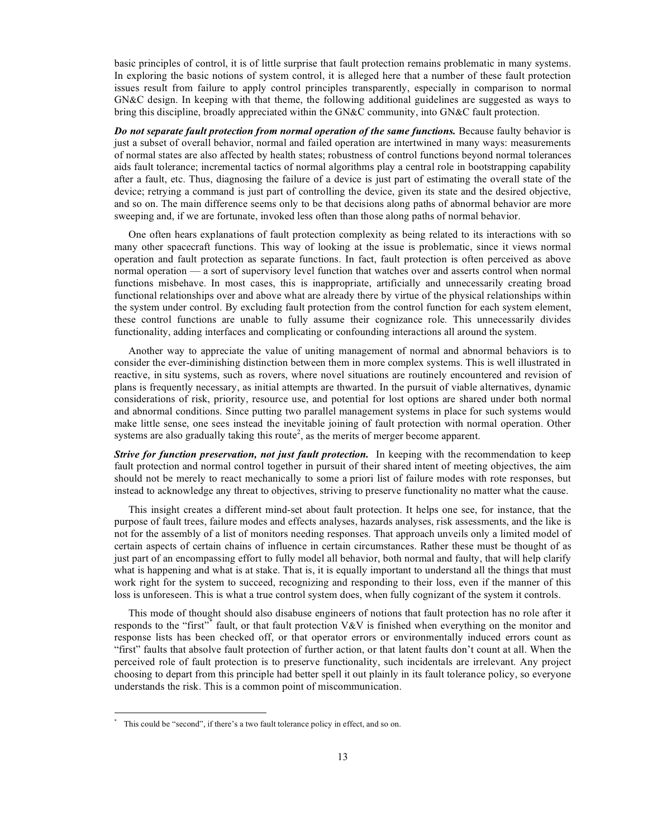basic principles of control, it is of little surprise that fault protection remains problematic in many systems. In exploring the basic notions of system control, it is alleged here that a number of these fault protection issues result from failure to apply control principles transparently, especially in comparison to normal GN&C design. In keeping with that theme, the following additional guidelines are suggested as ways to bring this discipline, broadly appreciated within the GN&C community, into GN&C fault protection.

*Do not separate fault protection from normal operation of the same functions.* Because faulty behavior is just a subset of overall behavior, normal and failed operation are intertwined in many ways: measurements of normal states are also affected by health states; robustness of control functions beyond normal tolerances aids fault tolerance; incremental tactics of normal algorithms play a central role in bootstrapping capability after a fault, etc. Thus, diagnosing the failure of a device is just part of estimating the overall state of the device; retrying a command is just part of controlling the device, given its state and the desired objective, and so on. The main difference seems only to be that decisions along paths of abnormal behavior are more sweeping and, if we are fortunate, invoked less often than those along paths of normal behavior.

One often hears explanations of fault protection complexity as being related to its interactions with so many other spacecraft functions. This way of looking at the issue is problematic, since it views normal operation and fault protection as separate functions. In fact, fault protection is often perceived as above normal operation — a sort of supervisory level function that watches over and asserts control when normal functions misbehave. In most cases, this is inappropriate, artificially and unnecessarily creating broad functional relationships over and above what are already there by virtue of the physical relationships within the system under control. By excluding fault protection from the control function for each system element, these control functions are unable to fully assume their cognizance role. This unnecessarily divides functionality, adding interfaces and complicating or confounding interactions all around the system.

Another way to appreciate the value of uniting management of normal and abnormal behaviors is to consider the ever-diminishing distinction between them in more complex systems. This is well illustrated in reactive, in situ systems, such as rovers, where novel situations are routinely encountered and revision of plans is frequently necessary, as initial attempts are thwarted. In the pursuit of viable alternatives, dynamic considerations of risk, priority, resource use, and potential for lost options are shared under both normal and abnormal conditions. Since putting two parallel management systems in place for such systems would make little sense, one sees instead the inevitable joining of fault protection with normal operation. Other systems are also gradually taking this route<sup>2</sup>, as the merits of merger become apparent.

*Strive for function preservation, not just fault protection.* In keeping with the recommendation to keep fault protection and normal control together in pursuit of their shared intent of meeting objectives, the aim should not be merely to react mechanically to some a priori list of failure modes with rote responses, but instead to acknowledge any threat to objectives, striving to preserve functionality no matter what the cause.

This insight creates a different mind-set about fault protection. It helps one see, for instance, that the purpose of fault trees, failure modes and effects analyses, hazards analyses, risk assessments, and the like is not for the assembly of a list of monitors needing responses. That approach unveils only a limited model of certain aspects of certain chains of influence in certain circumstances. Rather these must be thought of as just part of an encompassing effort to fully model all behavior, both normal and faulty, that will help clarify what is happening and what is at stake. That is, it is equally important to understand all the things that must work right for the system to succeed, recognizing and responding to their loss, even if the manner of this loss is unforeseen. This is what a true control system does, when fully cognizant of the system it controls.

This mode of thought should also disabuse engineers of notions that fault protection has no role after it responds to the "first"<sup>\*</sup> fault, or that fault protection V&V is finished when everything on the monitor and response lists has been checked off, or that operator errors or environmentally induced errors count as "first" faults that absolve fault protection of further action, or that latent faults don't count at all. When the perceived role of fault protection is to preserve functionality, such incidentals are irrelevant. Any project choosing to depart from this principle had better spell it out plainly in its fault tolerance policy, so everyone understands the risk. This is a common point of miscommunication.

 $\overline{a}$ 

<sup>\*</sup> This could be "second", if there's a two fault tolerance policy in effect, and so on.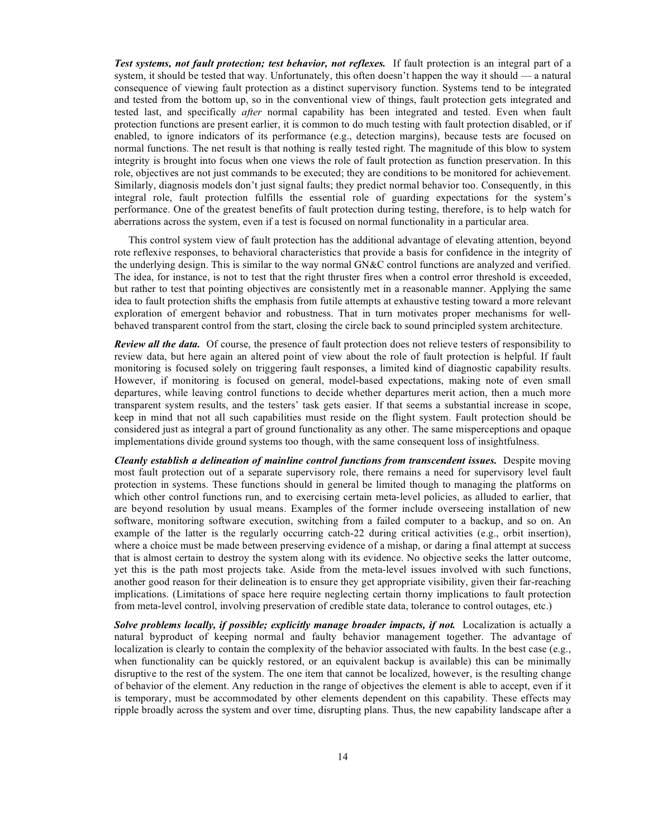*Test systems, not fault protection; test behavior, not reflexes.* If fault protection is an integral part of a system, it should be tested that way. Unfortunately, this often doesn't happen the way it should — a natural consequence of viewing fault protection as a distinct supervisory function. Systems tend to be integrated and tested from the bottom up, so in the conventional view of things, fault protection gets integrated and tested last, and specifically *after* normal capability has been integrated and tested. Even when fault protection functions are present earlier, it is common to do much testing with fault protection disabled, or if enabled, to ignore indicators of its performance (e.g., detection margins), because tests are focused on normal functions. The net result is that nothing is really tested right. The magnitude of this blow to system integrity is brought into focus when one views the role of fault protection as function preservation. In this role, objectives are not just commands to be executed; they are conditions to be monitored for achievement. Similarly, diagnosis models don't just signal faults; they predict normal behavior too. Consequently, in this integral role, fault protection fulfills the essential role of guarding expectations for the system's performance. One of the greatest benefits of fault protection during testing, therefore, is to help watch for aberrations across the system, even if a test is focused on normal functionality in a particular area.

This control system view of fault protection has the additional advantage of elevating attention, beyond rote reflexive responses, to behavioral characteristics that provide a basis for confidence in the integrity of the underlying design. This is similar to the way normal GN&C control functions are analyzed and verified. The idea, for instance, is not to test that the right thruster fires when a control error threshold is exceeded, but rather to test that pointing objectives are consistently met in a reasonable manner. Applying the same idea to fault protection shifts the emphasis from futile attempts at exhaustive testing toward a more relevant exploration of emergent behavior and robustness. That in turn motivates proper mechanisms for wellbehaved transparent control from the start, closing the circle back to sound principled system architecture.

*Review all the data.* Of course, the presence of fault protection does not relieve testers of responsibility to review data, but here again an altered point of view about the role of fault protection is helpful. If fault monitoring is focused solely on triggering fault responses, a limited kind of diagnostic capability results. However, if monitoring is focused on general, model-based expectations, making note of even small departures, while leaving control functions to decide whether departures merit action, then a much more transparent system results, and the testers' task gets easier. If that seems a substantial increase in scope, keep in mind that not all such capabilities must reside on the flight system. Fault protection should be considered just as integral a part of ground functionality as any other. The same misperceptions and opaque implementations divide ground systems too though, with the same consequent loss of insightfulness.

*Cleanly establish a delineation of mainline control functions from transcendent issues.* Despite moving most fault protection out of a separate supervisory role, there remains a need for supervisory level fault protection in systems. These functions should in general be limited though to managing the platforms on which other control functions run, and to exercising certain meta-level policies, as alluded to earlier, that are beyond resolution by usual means. Examples of the former include overseeing installation of new software, monitoring software execution, switching from a failed computer to a backup, and so on. An example of the latter is the regularly occurring catch-22 during critical activities (e.g., orbit insertion), where a choice must be made between preserving evidence of a mishap, or daring a final attempt at success that is almost certain to destroy the system along with its evidence. No objective seeks the latter outcome, yet this is the path most projects take. Aside from the meta-level issues involved with such functions, another good reason for their delineation is to ensure they get appropriate visibility, given their far-reaching implications. (Limitations of space here require neglecting certain thorny implications to fault protection from meta-level control, involving preservation of credible state data, tolerance to control outages, etc.)

*Solve problems locally, if possible; explicitly manage broader impacts, if not.* Localization is actually a natural byproduct of keeping normal and faulty behavior management together. The advantage of localization is clearly to contain the complexity of the behavior associated with faults. In the best case (e.g., when functionality can be quickly restored, or an equivalent backup is available) this can be minimally disruptive to the rest of the system. The one item that cannot be localized, however, is the resulting change of behavior of the element. Any reduction in the range of objectives the element is able to accept, even if it is temporary, must be accommodated by other elements dependent on this capability. These effects may ripple broadly across the system and over time, disrupting plans. Thus, the new capability landscape after a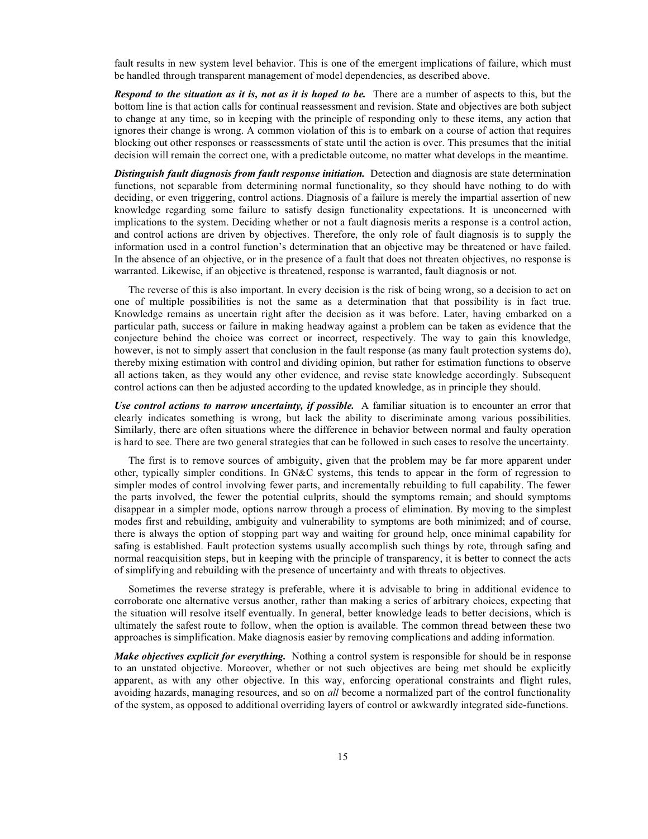fault results in new system level behavior. This is one of the emergent implications of failure, which must be handled through transparent management of model dependencies, as described above.

*Respond to the situation as it is, not as it is hoped to be.* There are a number of aspects to this, but the bottom line is that action calls for continual reassessment and revision. State and objectives are both subject to change at any time, so in keeping with the principle of responding only to these items, any action that ignores their change is wrong. A common violation of this is to embark on a course of action that requires blocking out other responses or reassessments of state until the action is over. This presumes that the initial decision will remain the correct one, with a predictable outcome, no matter what develops in the meantime.

*Distinguish fault diagnosis from fault response initiation.* Detection and diagnosis are state determination functions, not separable from determining normal functionality, so they should have nothing to do with deciding, or even triggering, control actions. Diagnosis of a failure is merely the impartial assertion of new knowledge regarding some failure to satisfy design functionality expectations. It is unconcerned with implications to the system. Deciding whether or not a fault diagnosis merits a response is a control action, and control actions are driven by objectives. Therefore, the only role of fault diagnosis is to supply the information used in a control function's determination that an objective may be threatened or have failed. In the absence of an objective, or in the presence of a fault that does not threaten objectives, no response is warranted. Likewise, if an objective is threatened, response is warranted, fault diagnosis or not.

The reverse of this is also important. In every decision is the risk of being wrong, so a decision to act on one of multiple possibilities is not the same as a determination that that possibility is in fact true. Knowledge remains as uncertain right after the decision as it was before. Later, having embarked on a particular path, success or failure in making headway against a problem can be taken as evidence that the conjecture behind the choice was correct or incorrect, respectively. The way to gain this knowledge, however, is not to simply assert that conclusion in the fault response (as many fault protection systems do), thereby mixing estimation with control and dividing opinion, but rather for estimation functions to observe all actions taken, as they would any other evidence, and revise state knowledge accordingly. Subsequent control actions can then be adjusted according to the updated knowledge, as in principle they should.

*Use control actions to narrow uncertainty, if possible.* A familiar situation is to encounter an error that clearly indicates something is wrong, but lack the ability to discriminate among various possibilities. Similarly, there are often situations where the difference in behavior between normal and faulty operation is hard to see. There are two general strategies that can be followed in such cases to resolve the uncertainty.

The first is to remove sources of ambiguity, given that the problem may be far more apparent under other, typically simpler conditions. In GN&C systems, this tends to appear in the form of regression to simpler modes of control involving fewer parts, and incrementally rebuilding to full capability. The fewer the parts involved, the fewer the potential culprits, should the symptoms remain; and should symptoms disappear in a simpler mode, options narrow through a process of elimination. By moving to the simplest modes first and rebuilding, ambiguity and vulnerability to symptoms are both minimized; and of course, there is always the option of stopping part way and waiting for ground help, once minimal capability for safing is established. Fault protection systems usually accomplish such things by rote, through safing and normal reacquisition steps, but in keeping with the principle of transparency, it is better to connect the acts of simplifying and rebuilding with the presence of uncertainty and with threats to objectives.

Sometimes the reverse strategy is preferable, where it is advisable to bring in additional evidence to corroborate one alternative versus another, rather than making a series of arbitrary choices, expecting that the situation will resolve itself eventually. In general, better knowledge leads to better decisions, which is ultimately the safest route to follow, when the option is available. The common thread between these two approaches is simplification. Make diagnosis easier by removing complications and adding information.

*Make objectives explicit for everything.* Nothing a control system is responsible for should be in response to an unstated objective. Moreover, whether or not such objectives are being met should be explicitly apparent, as with any other objective. In this way, enforcing operational constraints and flight rules, avoiding hazards, managing resources, and so on *all* become a normalized part of the control functionality of the system, as opposed to additional overriding layers of control or awkwardly integrated side-functions.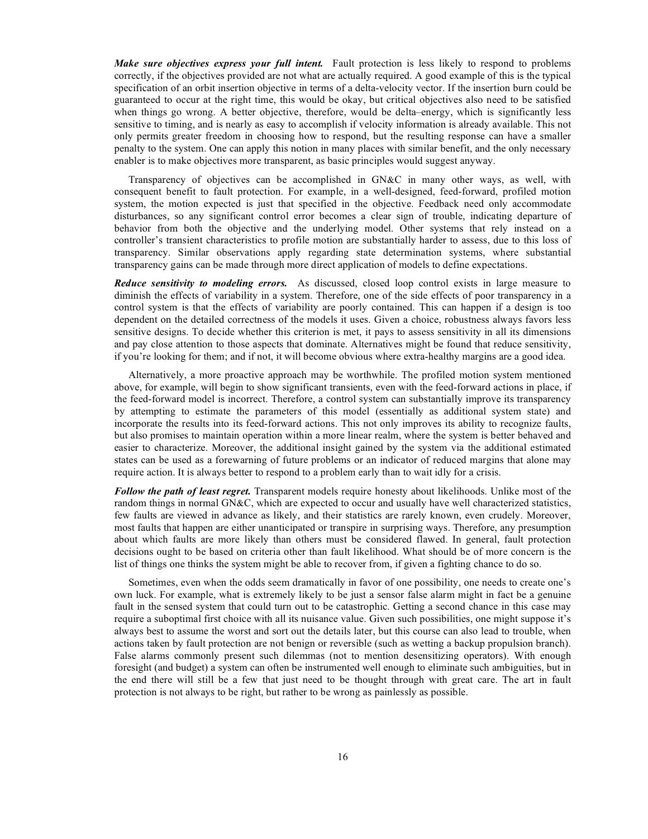*Make sure objectives express your full intent.* Fault protection is less likely to respond to problems correctly, if the objectives provided are not what are actually required. A good example of this is the typical specification of an orbit insertion objective in terms of a delta-velocity vector. If the insertion burn could be guaranteed to occur at the right time, this would be okay, but critical objectives also need to be satisfied when things go wrong. A better objective, therefore, would be delta–energy, which is significantly less sensitive to timing, and is nearly as easy to accomplish if velocity information is already available. This not only permits greater freedom in choosing how to respond, but the resulting response can have a smaller penalty to the system. One can apply this notion in many places with similar benefit, and the only necessary enabler is to make objectives more transparent, as basic principles would suggest anyway.

Transparency of objectives can be accomplished in GN&C in many other ways, as well, with consequent benefit to fault protection. For example, in a well-designed, feed-forward, profiled motion system, the motion expected is just that specified in the objective. Feedback need only accommodate disturbances, so any significant control error becomes a clear sign of trouble, indicating departure of behavior from both the objective and the underlying model. Other systems that rely instead on a controller's transient characteristics to profile motion are substantially harder to assess, due to this loss of transparency. Similar observations apply regarding state determination systems, where substantial transparency gains can be made through more direct application of models to define expectations.

*Reduce sensitivity to modeling errors.* As discussed, closed loop control exists in large measure to diminish the effects of variability in a system. Therefore, one of the side effects of poor transparency in a control system is that the effects of variability are poorly contained. This can happen if a design is too dependent on the detailed correctness of the models it uses. Given a choice, robustness always favors less sensitive designs. To decide whether this criterion is met, it pays to assess sensitivity in all its dimensions and pay close attention to those aspects that dominate. Alternatives might be found that reduce sensitivity, if you're looking for them; and if not, it will become obvious where extra-healthy margins are a good idea.

Alternatively, a more proactive approach may be worthwhile. The profiled motion system mentioned above, for example, will begin to show significant transients, even with the feed-forward actions in place, if the feed-forward model is incorrect. Therefore, a control system can substantially improve its transparency by attempting to estimate the parameters of this model (essentially as additional system state) and incorporate the results into its feed-forward actions. This not only improves its ability to recognize faults, but also promises to maintain operation within a more linear realm, where the system is better behaved and easier to characterize. Moreover, the additional insight gained by the system via the additional estimated states can be used as a forewarning of future problems or an indicator of reduced margins that alone may require action. It is always better to respond to a problem early than to wait idly for a crisis.

*Follow the path of least regret.* Transparent models require honesty about likelihoods. Unlike most of the random things in normal GN&C, which are expected to occur and usually have well characterized statistics, few faults are viewed in advance as likely, and their statistics are rarely known, even crudely. Moreover, most faults that happen are either unanticipated or transpire in surprising ways. Therefore, any presumption about which faults are more likely than others must be considered flawed. In general, fault protection decisions ought to be based on criteria other than fault likelihood. What should be of more concern is the list of things one thinks the system might be able to recover from, if given a fighting chance to do so.

Sometimes, even when the odds seem dramatically in favor of one possibility, one needs to create one's own luck. For example, what is extremely likely to be just a sensor false alarm might in fact be a genuine fault in the sensed system that could turn out to be catastrophic. Getting a second chance in this case may require a suboptimal first choice with all its nuisance value. Given such possibilities, one might suppose it's always best to assume the worst and sort out the details later, but this course can also lead to trouble, when actions taken by fault protection are not benign or reversible (such as wetting a backup propulsion branch). False alarms commonly present such dilemmas (not to mention desensitizing operators). With enough foresight (and budget) a system can often be instrumented well enough to eliminate such ambiguities, but in the end there will still be a few that just need to be thought through with great care. The art in fault protection is not always to be right, but rather to be wrong as painlessly as possible.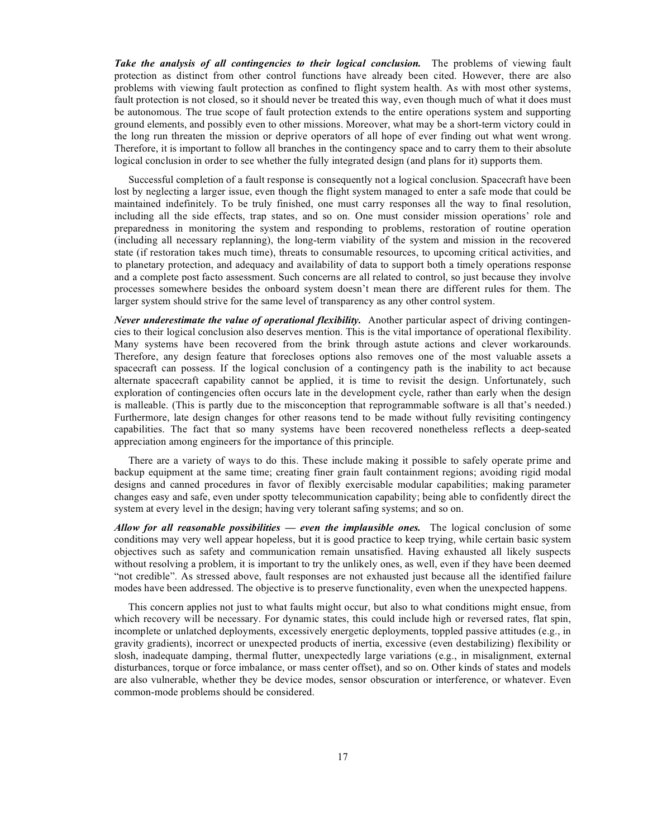*Take the analysis of all contingencies to their logical conclusion.* The problems of viewing fault protection as distinct from other control functions have already been cited. However, there are also problems with viewing fault protection as confined to flight system health. As with most other systems, fault protection is not closed, so it should never be treated this way, even though much of what it does must be autonomous. The true scope of fault protection extends to the entire operations system and supporting ground elements, and possibly even to other missions. Moreover, what may be a short-term victory could in the long run threaten the mission or deprive operators of all hope of ever finding out what went wrong. Therefore, it is important to follow all branches in the contingency space and to carry them to their absolute logical conclusion in order to see whether the fully integrated design (and plans for it) supports them.

Successful completion of a fault response is consequently not a logical conclusion. Spacecraft have been lost by neglecting a larger issue, even though the flight system managed to enter a safe mode that could be maintained indefinitely. To be truly finished, one must carry responses all the way to final resolution, including all the side effects, trap states, and so on. One must consider mission operations' role and preparedness in monitoring the system and responding to problems, restoration of routine operation (including all necessary replanning), the long-term viability of the system and mission in the recovered state (if restoration takes much time), threats to consumable resources, to upcoming critical activities, and to planetary protection, and adequacy and availability of data to support both a timely operations response and a complete post facto assessment. Such concerns are all related to control, so just because they involve processes somewhere besides the onboard system doesn't mean there are different rules for them. The larger system should strive for the same level of transparency as any other control system.

*Never underestimate the value of operational flexibility.* Another particular aspect of driving contingencies to their logical conclusion also deserves mention. This is the vital importance of operational flexibility. Many systems have been recovered from the brink through astute actions and clever workarounds. Therefore, any design feature that forecloses options also removes one of the most valuable assets a spacecraft can possess. If the logical conclusion of a contingency path is the inability to act because alternate spacecraft capability cannot be applied, it is time to revisit the design. Unfortunately, such exploration of contingencies often occurs late in the development cycle, rather than early when the design is malleable. (This is partly due to the misconception that reprogrammable software is all that's needed.) Furthermore, late design changes for other reasons tend to be made without fully revisiting contingency capabilities. The fact that so many systems have been recovered nonetheless reflects a deep-seated appreciation among engineers for the importance of this principle.

There are a variety of ways to do this. These include making it possible to safely operate prime and backup equipment at the same time; creating finer grain fault containment regions; avoiding rigid modal designs and canned procedures in favor of flexibly exercisable modular capabilities; making parameter changes easy and safe, even under spotty telecommunication capability; being able to confidently direct the system at every level in the design; having very tolerant safing systems; and so on.

*Allow for all reasonable possibilities — even the implausible ones.* The logical conclusion of some conditions may very well appear hopeless, but it is good practice to keep trying, while certain basic system objectives such as safety and communication remain unsatisfied. Having exhausted all likely suspects without resolving a problem, it is important to try the unlikely ones, as well, even if they have been deemed "not credible". As stressed above, fault responses are not exhausted just because all the identified failure modes have been addressed. The objective is to preserve functionality, even when the unexpected happens.

This concern applies not just to what faults might occur, but also to what conditions might ensue, from which recovery will be necessary. For dynamic states, this could include high or reversed rates, flat spin, incomplete or unlatched deployments, excessively energetic deployments, toppled passive attitudes (e.g., in gravity gradients), incorrect or unexpected products of inertia, excessive (even destabilizing) flexibility or slosh, inadequate damping, thermal flutter, unexpectedly large variations (e.g., in misalignment, external disturbances, torque or force imbalance, or mass center offset), and so on. Other kinds of states and models are also vulnerable, whether they be device modes, sensor obscuration or interference, or whatever. Even common-mode problems should be considered.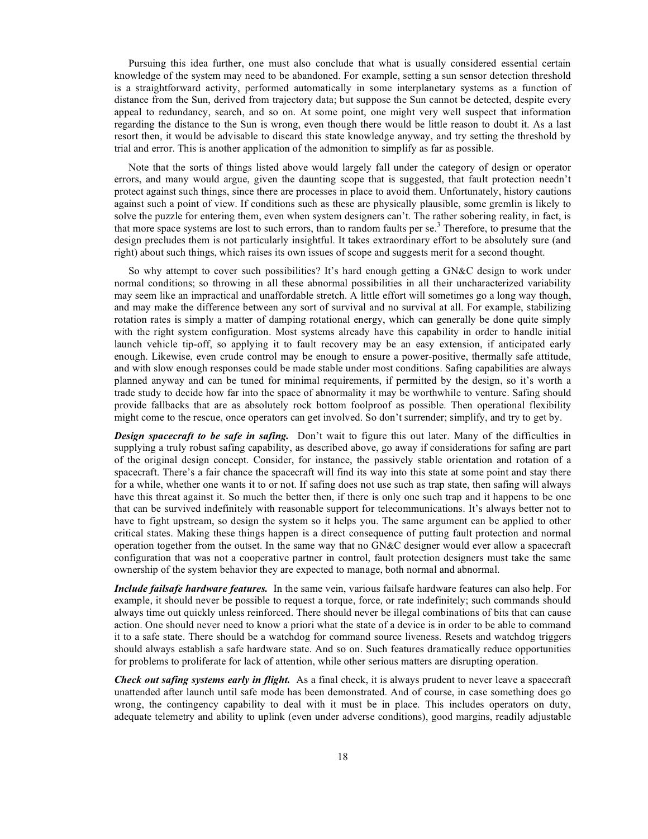Pursuing this idea further, one must also conclude that what is usually considered essential certain knowledge of the system may need to be abandoned. For example, setting a sun sensor detection threshold is a straightforward activity, performed automatically in some interplanetary systems as a function of distance from the Sun, derived from trajectory data; but suppose the Sun cannot be detected, despite every appeal to redundancy, search, and so on. At some point, one might very well suspect that information regarding the distance to the Sun is wrong, even though there would be little reason to doubt it. As a last resort then, it would be advisable to discard this state knowledge anyway, and try setting the threshold by trial and error. This is another application of the admonition to simplify as far as possible.

Note that the sorts of things listed above would largely fall under the category of design or operator errors, and many would argue, given the daunting scope that is suggested, that fault protection needn't protect against such things, since there are processes in place to avoid them. Unfortunately, history cautions against such a point of view. If conditions such as these are physically plausible, some gremlin is likely to solve the puzzle for entering them, even when system designers can't. The rather sobering reality, in fact, is that more space systems are lost to such errors, than to random faults per se.<sup>3</sup> Therefore, to presume that the design precludes them is not particularly insightful. It takes extraordinary effort to be absolutely sure (and right) about such things, which raises its own issues of scope and suggests merit for a second thought.

So why attempt to cover such possibilities? It's hard enough getting a GN&C design to work under normal conditions; so throwing in all these abnormal possibilities in all their uncharacterized variability may seem like an impractical and unaffordable stretch. A little effort will sometimes go a long way though, and may make the difference between any sort of survival and no survival at all. For example, stabilizing rotation rates is simply a matter of damping rotational energy, which can generally be done quite simply with the right system configuration. Most systems already have this capability in order to handle initial launch vehicle tip-off, so applying it to fault recovery may be an easy extension, if anticipated early enough. Likewise, even crude control may be enough to ensure a power-positive, thermally safe attitude, and with slow enough responses could be made stable under most conditions. Safing capabilities are always planned anyway and can be tuned for minimal requirements, if permitted by the design, so it's worth a trade study to decide how far into the space of abnormality it may be worthwhile to venture. Safing should provide fallbacks that are as absolutely rock bottom foolproof as possible. Then operational flexibility might come to the rescue, once operators can get involved. So don't surrender; simplify, and try to get by.

**Design spacecraft to be safe in safing.** Don't wait to figure this out later. Many of the difficulties in supplying a truly robust safing capability, as described above, go away if considerations for safing are part of the original design concept. Consider, for instance, the passively stable orientation and rotation of a spacecraft. There's a fair chance the spacecraft will find its way into this state at some point and stay there for a while, whether one wants it to or not. If safing does not use such as trap state, then safing will always have this threat against it. So much the better then, if there is only one such trap and it happens to be one that can be survived indefinitely with reasonable support for telecommunications. It's always better not to have to fight upstream, so design the system so it helps you. The same argument can be applied to other critical states. Making these things happen is a direct consequence of putting fault protection and normal operation together from the outset. In the same way that no GN&C designer would ever allow a spacecraft configuration that was not a cooperative partner in control, fault protection designers must take the same ownership of the system behavior they are expected to manage, both normal and abnormal.

*Include failsafe hardware features.* In the same vein, various failsafe hardware features can also help. For example, it should never be possible to request a torque, force, or rate indefinitely; such commands should always time out quickly unless reinforced. There should never be illegal combinations of bits that can cause action. One should never need to know a priori what the state of a device is in order to be able to command it to a safe state. There should be a watchdog for command source liveness. Resets and watchdog triggers should always establish a safe hardware state. And so on. Such features dramatically reduce opportunities for problems to proliferate for lack of attention, while other serious matters are disrupting operation.

*Check out safing systems early in flight.* As a final check, it is always prudent to never leave a spacecraft unattended after launch until safe mode has been demonstrated. And of course, in case something does go wrong, the contingency capability to deal with it must be in place. This includes operators on duty, adequate telemetry and ability to uplink (even under adverse conditions), good margins, readily adjustable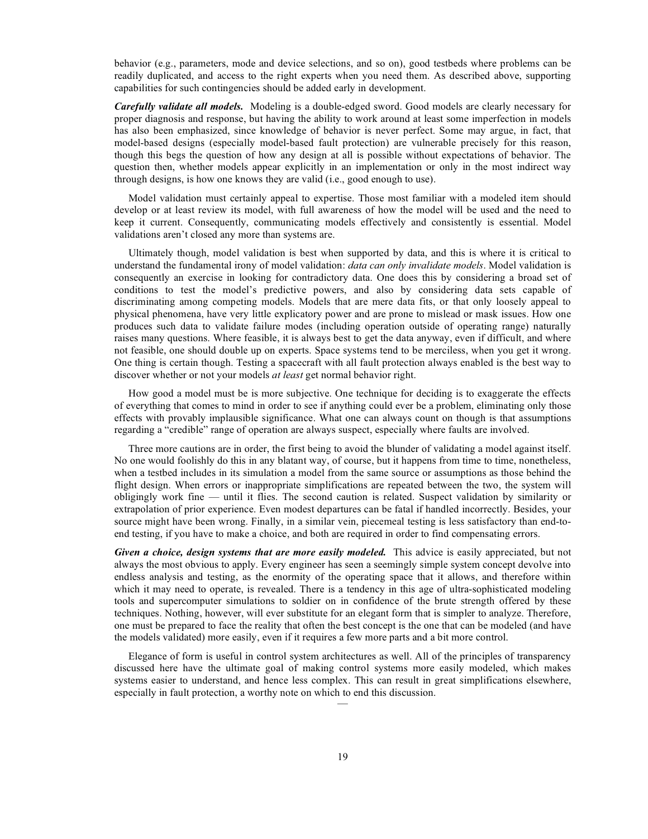behavior (e.g., parameters, mode and device selections, and so on), good testbeds where problems can be readily duplicated, and access to the right experts when you need them. As described above, supporting capabilities for such contingencies should be added early in development.

*Carefully validate all models.* Modeling is a double-edged sword. Good models are clearly necessary for proper diagnosis and response, but having the ability to work around at least some imperfection in models has also been emphasized, since knowledge of behavior is never perfect. Some may argue, in fact, that model-based designs (especially model-based fault protection) are vulnerable precisely for this reason, though this begs the question of how any design at all is possible without expectations of behavior. The question then, whether models appear explicitly in an implementation or only in the most indirect way through designs, is how one knows they are valid (i.e., good enough to use).

Model validation must certainly appeal to expertise. Those most familiar with a modeled item should develop or at least review its model, with full awareness of how the model will be used and the need to keep it current. Consequently, communicating models effectively and consistently is essential. Model validations aren't closed any more than systems are.

Ultimately though, model validation is best when supported by data, and this is where it is critical to understand the fundamental irony of model validation: *data can only invalidate models*. Model validation is consequently an exercise in looking for contradictory data. One does this by considering a broad set of conditions to test the model's predictive powers, and also by considering data sets capable of discriminating among competing models. Models that are mere data fits, or that only loosely appeal to physical phenomena, have very little explicatory power and are prone to mislead or mask issues. How one produces such data to validate failure modes (including operation outside of operating range) naturally raises many questions. Where feasible, it is always best to get the data anyway, even if difficult, and where not feasible, one should double up on experts. Space systems tend to be merciless, when you get it wrong. One thing is certain though. Testing a spacecraft with all fault protection always enabled is the best way to discover whether or not your models *at least* get normal behavior right.

How good a model must be is more subjective. One technique for deciding is to exaggerate the effects of everything that comes to mind in order to see if anything could ever be a problem, eliminating only those effects with provably implausible significance. What one can always count on though is that assumptions regarding a "credible" range of operation are always suspect, especially where faults are involved.

Three more cautions are in order, the first being to avoid the blunder of validating a model against itself. No one would foolishly do this in any blatant way, of course, but it happens from time to time, nonetheless, when a testbed includes in its simulation a model from the same source or assumptions as those behind the flight design. When errors or inappropriate simplifications are repeated between the two, the system will obligingly work fine — until it flies. The second caution is related. Suspect validation by similarity or extrapolation of prior experience. Even modest departures can be fatal if handled incorrectly. Besides, your source might have been wrong. Finally, in a similar vein, piecemeal testing is less satisfactory than end-toend testing, if you have to make a choice, and both are required in order to find compensating errors.

*Given a choice, design systems that are more easily modeled.* This advice is easily appreciated, but not always the most obvious to apply. Every engineer has seen a seemingly simple system concept devolve into endless analysis and testing, as the enormity of the operating space that it allows, and therefore within which it may need to operate, is revealed. There is a tendency in this age of ultra-sophisticated modeling tools and supercomputer simulations to soldier on in confidence of the brute strength offered by these techniques. Nothing, however, will ever substitute for an elegant form that is simpler to analyze. Therefore, one must be prepared to face the reality that often the best concept is the one that can be modeled (and have the models validated) more easily, even if it requires a few more parts and a bit more control.

Elegance of form is useful in control system architectures as well. All of the principles of transparency discussed here have the ultimate goal of making control systems more easily modeled, which makes systems easier to understand, and hence less complex. This can result in great simplifications elsewhere, especially in fault protection, a worthy note on which to end this discussion.

—